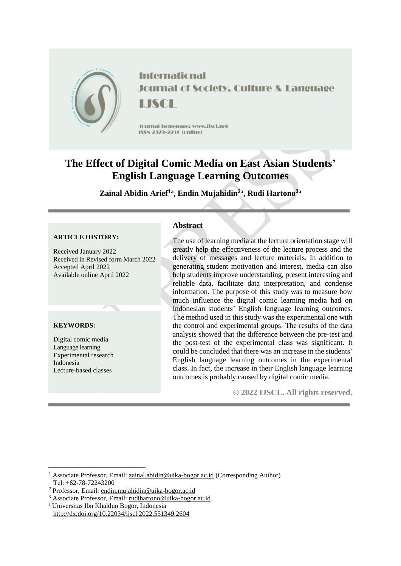

**International Journal of Society, Culture & Language** LISCH

Journal homepage: www.jiscl.net ISSN 2329-2210 (cnline)

# **The Effect of Digital Comic Media on East Asian Students' English Language Learning Outcomes**

**Zainal Abidin Arief<sup>1</sup><sup>a</sup> , Endin Mujahidin<sup>2</sup><sup>a</sup> , Rudi Hartono<sup>3</sup><sup>a</sup>**

#### **ARTICLE HISTORY:**

Received January 2022 Received in Revised form March 2022 Accepted April 2022 Available online April 2022

# **KEYWORDS:**

<u>.</u>

Digital comic media Language learning Experimental research Indonesia Lecture-based classes

# **Abstract**

The use of learning media at the lecture orientation stage will greatly help the effectiveness of the lecture process and the delivery of messages and lecture materials. In addition to generating student motivation and interest, media can also help students improve understanding, present interesting and reliable data, facilitate data interpretation, and condense information. The purpose of this study was to measure how much influence the digital comic learning media had on Indonesian students' English language learning outcomes. The method used in this study was the experimental one with the control and experimental groups. The results of the data analysis showed that the difference between the pre-test and the post-test of the experimental class was significant. It could be concluded that there was an increase in the students' English language learning outcomes in the experimental class. In fact, the increase in their English language learning outcomes is probably caused by digital comic media.

**© 2022 IJSCL. All rights reserved.**

- <sup>3</sup> Associate Professor, Email: [rudihartono@uika-bogor.ac.id](mailto:rudihartono@uika-bogor.ac.id)
- <sup>a</sup> Universitas Ibn Khaldun Bogor, Indonesia http://dx.doi.org/10.22034/ijscl.2022.551349.2604

<sup>1</sup> Associate Professor, Email: [zainal.abidin@uika-bogor.ac.id](mailto:zainal.abidin@uika-bogor.ac.id) (Corresponding Author) Tel: +62-78-72243200

<sup>2</sup> Professor, Email: [endin.mujahidin@uika-bogor.ac.id](mailto:endin.mujahidin@uika-bogor.ac.id)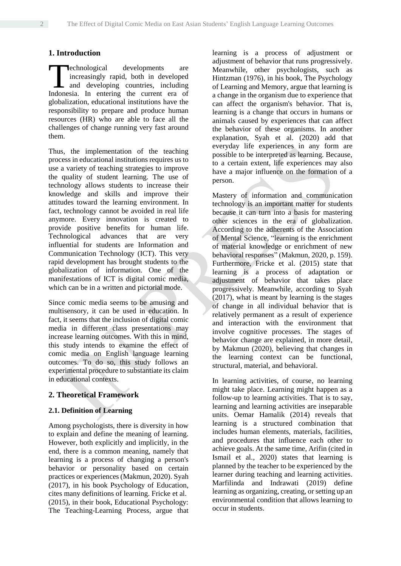# **1. Introduction**

echnological developments are increasingly rapid, both in developed and developing countries, including **Technological developments** are increasingly rapid, both in developed and developing countries, including Indonesia. In entering the current era of globalization, educational institutions have the responsibility to prepare and produce human resources (HR) who are able to face all the challenges of change running very fast around them.

Thus, the implementation of the teaching process in educational institutions requires us to use a variety of teaching strategies to improve the quality of student learning. The use of technology allows students to increase their knowledge and skills and improve their attitudes toward the learning environment. In fact, technology cannot be avoided in real life anymore. Every innovation is created to provide positive benefits for human life. Technological advances that are very influential for students are Information and Communication Technology (ICT). This very rapid development has brought students to the globalization of information. One of the manifestations of ICT is digital comic media, which can be in a written and pictorial mode.

Since comic media seems to be amusing and multisensory, it can be used in education. In fact, it seems that the inclusion of digital comic media in different class presentations may increase learning outcomes. With this in mind, this study intends to examine the effect of comic media on English language learning outcomes. To do so, this study follows an experimental procedure to substantiate its claim in educational contexts.

# **2. Theoretical Framework**

# **2.1. Definition of Learning**

Among psychologists, there is diversity in how to explain and define the meaning of learning. However, both explicitly and implicitly, in the end, there is a common meaning, namely that learning is a process of changing a person's behavior or personality based on certain practices or experiences (Makmun, 2020). Syah (2017), in his book Psychology of Education, cites many definitions of learning. Fricke et al. (2015), in their book, Educational Psychology: The Teaching-Learning Process, argue that

learning is a process of adjustment or adjustment of behavior that runs progressively. Meanwhile, other psychologists, such as Hintzman (1976), in his book, The Psychology of Learning and Memory, argue that learning is a change in the organism due to experience that can affect the organism's behavior. That is, learning is a change that occurs in humans or animals caused by experiences that can affect the behavior of these organisms. In another explanation, Syah et al. (2020) add that everyday life experiences in any form are possible to be interpreted as learning. Because, to a certain extent, life experiences may also have a major influence on the formation of a person.

Mastery of information and communication technology is an important matter for students because it can turn into a basis for mastering other sciences in the era of globalization. According to the adherents of the Association of Mental Science, "learning is the enrichment of material knowledge or enrichment of new behavioral responses" (Makmun, 2020, p. 159). Furthermore, Fricke et al. (2015) state that learning is a process of adaptation or adjustment of behavior that takes place progressively. Meanwhile, according to Syah (2017), what is meant by learning is the stages of change in all individual behavior that is relatively permanent as a result of experience and interaction with the environment that involve cognitive processes. The stages of behavior change are explained, in more detail, by Makmun (2020), believing that changes in the learning context can be functional, structural, material, and behavioral.

In learning activities, of course, no learning might take place. Learning might happen as a follow-up to learning activities. That is to say, learning and learning activities are inseparable units. Oemar Hamalik (2014) reveals that learning is a structured combination that includes human elements, materials, facilities, and procedures that influence each other to achieve goals. At the same time, Arifin (cited in Ismail et al., 2020) states that learning is planned by the teacher to be experienced by the learner during teaching and learning activities. Marfilinda and Indrawati (2019) define learning as organizing, creating, or setting up an environmental condition that allows learning to occur in students.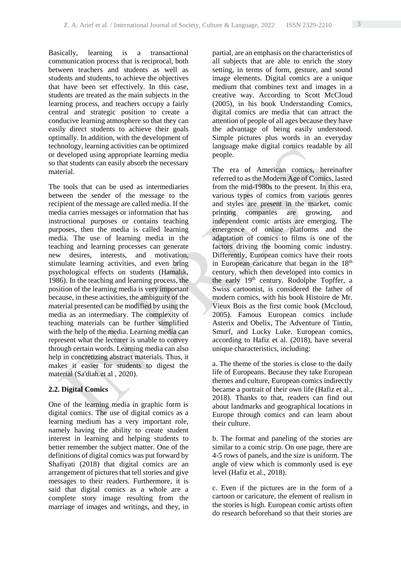Basically, learning is a transactional communication process that is reciprocal, both between teachers and students as well as students and students, to achieve the objectives that have been set effectively. In this case, students are treated as the main subjects in the learning process, and teachers occupy a fairly central and strategic position to create a conducive learning atmosphere so that they can easily direct students to achieve their goals optimally. In addition, with the development of technology, learning activities can be optimized or developed using appropriate learning media so that students can easily absorb the necessary material.

The tools that can be used as intermediaries between the sender of the message to the recipient of the message are called media. If the media carries messages or information that has instructional purposes or contains teaching purposes, then the media is called learning media. The use of learning media in the teaching and learning processes can generate new desires, interests, and motivation, stimulate learning activities, and even bring psychological effects on students (Hamalik, 1986). In the teaching and learning process, the position of the learning media is very important because, in these activities, the ambiguity of the material presented can be modified by using the media as an intermediary. The complexity of teaching materials can be further simplified with the help of the media. Learning media can represent what the lecturer is unable to convey through certain words. Learning media can also help in concretizing abstract materials. Thus, it makes it easier for students to digest the material (Sa'diah.et al, 2020).

# **2.2. Digital Comics**

One of the learning media in graphic form is digital comics. The use of digital comics as a learning medium has a very important role, namely having the ability to create student interest in learning and helping students to better remember the subject matter. One of the definitions of digital comics was put forward by Shafiyati (2018) that digital comics are an arrangement of pictures that tell stories and give messages to their readers. Furthermore, it is said that digital comics as a whole are a complete story image resulting from the marriage of images and writings, and they, in partial, are an emphasis on the characteristics of all subjects that are able to enrich the story setting, in terms of form, gesture, and sound image elements. Digital comics are a unique medium that combines text and images in a creative way. According to Scott McCloud (2005), in his book Understanding Comics, digital comics are media that can attract the attention of people of all ages because they have the advantage of being easily understood. Simple pictures plus words in an everyday language make digital comics readable by all people.

The era of American comics, hereinafter referred to as the Modern Age of Comics, lasted from the mid-1980s to the present. In this era, various types of comics from various genres and styles are present in the market, comic printing companies are growing, and independent comic artists are emerging. The emergence of online platforms and the adaptation of comics to films is one of the factors driving the booming comic industry. Differently, European comics have their roots in European caricature that began in the 18<sup>th</sup> century, which then developed into comics in the early  $19<sup>th</sup>$  century. Rodolphe Topffer, a Swiss cartoonist, is considered the father of modern comics, with his book Histoire de Mr. Vieux Bois as the first comic book (Mccloud, 2005). Famous European comics include Asterix and Obelix, The Adventure of Tintin, Smurf, and Lucky Luke. European comics, according to Hafiz et al. (2018), have several unique characteristics, including:

a. The theme of the stories is close to the daily life of Europeans. Because they take European themes and culture, European comics indirectly became a portrait of their own life (Hafiz et al., 2018). Thanks to that, readers can find out about landmarks and geographical locations in Europe through comics and can learn about their culture.

b. The format and paneling of the stories are similar to a comic strip. On one page, there are 4-5 rows of panels, and the size is uniform. The angle of view which is commonly used is eye level (Hafiz et al., 2018).

c. Even if the pictures are in the form of a cartoon or caricature, the element of realism in the stories is high. European comic artists often do research beforehand so that their stories are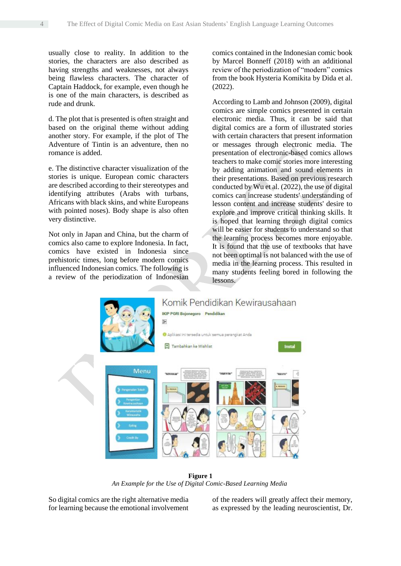usually close to reality. In addition to the stories, the characters are also described as having strengths and weaknesses, not always being flawless characters. The character of Captain Haddock, for example, even though he is one of the main characters, is described as rude and drunk.

d. The plot that is presented is often straight and based on the original theme without adding another story. For example, if the plot of The Adventure of Tintin is an adventure, then no romance is added.

e. The distinctive character visualization of the stories is unique. European comic characters are described according to their stereotypes and identifying attributes (Arabs with turbans, Africans with black skins, and white Europeans with pointed noses). Body shape is also often very distinctive.

Not only in Japan and China, but the charm of comics also came to explore Indonesia. In fact, comics have existed in Indonesia since prehistoric times, long before modern comics influenced Indonesian comics. The following is a review of the periodization of Indonesian comics contained in the Indonesian comic book by Marcel Bonneff (2018) with an additional review of the periodization of "modern" comics from the book Hysteria Komikita by Dida et al. (2022).

According to Lamb and Johnson (2009), digital comics are simple comics presented in certain electronic media. Thus, it can be said that digital comics are a form of illustrated stories with certain characters that present information or messages through electronic media. The presentation of electronic-based comics allows teachers to make comic stories more interesting by adding animation and sound elements in their presentations. Based on previous research conducted by Wu et al. (2022), the use of digital comics can increase students' understanding of lesson content and increase students' desire to explore and improve critical thinking skills. It is hoped that learning through digital comics will be easier for students to understand so that the learning process becomes more enjoyable. It is found that the use of textbooks that have not been optimal is not balanced with the use of media in the learning process. This resulted in many students feeling bored in following the lessons.



**Figure 1** *An Example for the Use of Digital Comic-Based Learning Media*

So digital comics are the right alternative media for learning because the emotional involvement

of the readers will greatly affect their memory, as expressed by the leading neuroscientist, Dr.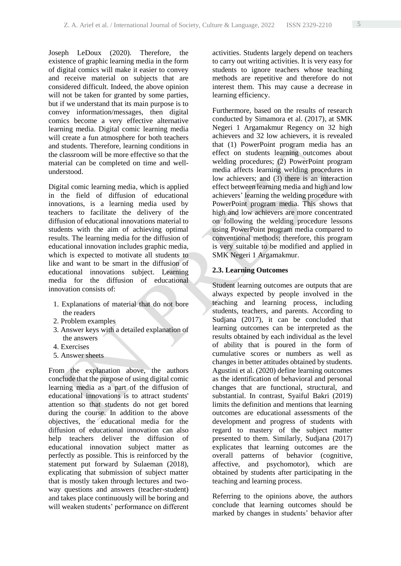Joseph LeDoux (2020). Therefore, the existence of graphic learning media in the form of digital comics will make it easier to convey and receive material on subjects that are considered difficult. Indeed, the above opinion will not be taken for granted by some parties, but if we understand that its main purpose is to convey information/messages, then digital comics become a very effective alternative learning media. Digital comic learning media will create a fun atmosphere for both teachers and students. Therefore, learning conditions in the classroom will be more effective so that the material can be completed on time and wellunderstood.

Digital comic learning media, which is applied in the field of diffusion of educational innovations, is a learning media used by teachers to facilitate the delivery of the diffusion of educational innovations material to students with the aim of achieving optimal results. The learning media for the diffusion of educational innovation includes graphic media, which is expected to motivate all students to like and want to be smart in the diffusion of educational innovations subject. Learning media for the diffusion of educational innovation consists of:

- 1. Explanations of material that do not bore the readers
- 2. Problem examples
- 3. Answer keys with a detailed explanation of the answers
- 4. Exercises
- 5. Answer sheets

From the explanation above, the authors conclude that the purpose of using digital comic learning media as a part of the diffusion of educational innovations is to attract students' attention so that students do not get bored during the course. In addition to the above objectives, the educational media for the diffusion of educational innovation can also help teachers deliver the diffusion of educational innovation subject matter as perfectly as possible. This is reinforced by the statement put forward by Sulaeman (2018), explicating that submission of subject matter that is mostly taken through lectures and twoway questions and answers (teacher-student) and takes place continuously will be boring and will weaken students' performance on different activities. Students largely depend on teachers to carry out writing activities. It is very easy for students to ignore teachers whose teaching methods are repetitive and therefore do not interest them. This may cause a decrease in learning efficiency.

Furthermore, based on the results of research conducted by Simamora et al. (2017), at SMK Negeri 1 Argamakmur Regency on 32 high achievers and 32 low achievers, it is revealed that (1) PowerPoint program media has an effect on students learning outcomes about welding procedures; (2) PowerPoint program media affects learning welding procedures in low achievers; and (3) there is an interaction effect between learning media and high and low achievers' learning the welding procedure with PowerPoint program media. This shows that high and low achievers are more concentrated on following the welding procedure lessons using PowerPoint program media compared to conventional methods; therefore, this program is very suitable to be modified and applied in SMK Negeri 1 Argamakmur.

# **2.3. Learning Outcomes**

Student learning outcomes are outputs that are always expected by people involved in the teaching and learning process, including students, teachers, and parents. According to Sudjana (2017), it can be concluded that learning outcomes can be interpreted as the results obtained by each individual as the level of ability that is poured in the form of cumulative scores or numbers as well as changes in better attitudes obtained by students. Agustini et al. (2020) define learning outcomes as the identification of behavioral and personal changes that are functional, structural, and substantial. In contrast, Syaiful Bakri (2019) limits the definition and mentions that learning outcomes are educational assessments of the development and progress of students with regard to mastery of the subject matter presented to them. Similarly, Sudjana (2017) explicates that learning outcomes are the overall patterns of behavior (cognitive, affective, and psychomotor), which are obtained by students after participating in the teaching and learning process.

Referring to the opinions above, the authors conclude that learning outcomes should be marked by changes in students' behavior after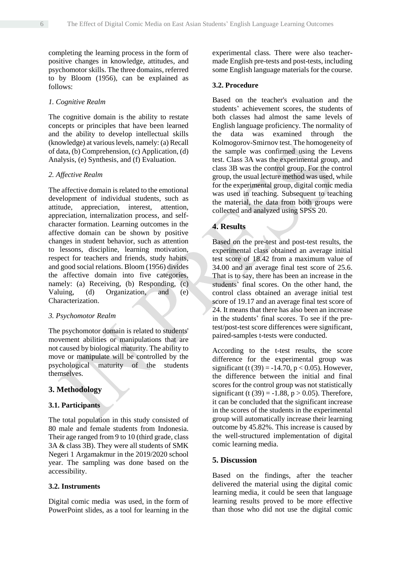completing the learning process in the form of positive changes in knowledge, attitudes, and psychomotor skills. The three domains, referred to by Bloom (1956), can be explained as follows:

#### *1. Cognitive Realm*

The cognitive domain is the ability to restate concepts or principles that have been learned and the ability to develop intellectual skills (knowledge) at various levels, namely: (a) Recall of data, (b) Comprehension, (c) Application, (d) Analysis, (e) Synthesis, and (f) Evaluation.

#### *2. Affective Realm*

The affective domain is related to the emotional development of individual students, such as attitude, appreciation, interest, attention, appreciation, internalization process, and selfcharacter formation. Learning outcomes in the affective domain can be shown by positive changes in student behavior, such as attention to lessons, discipline, learning motivation, respect for teachers and friends, study habits, and good social relations. Bloom (1956) divides the affective domain into five categories, namely: (a) Receiving, (b) Responding, (c) Valuing, (d) Organization, and (e) Characterization.

#### *3. Psychomotor Realm*

The psychomotor domain is related to students' movement abilities or manipulations that are not caused by biological maturity. The ability to move or manipulate will be controlled by the psychological maturity of the students themselves.

# **3. Methodology**

#### **3.1. Participants**

The total population in this study consisted of 80 male and female students from Indonesia. Their age ranged from 9 to 10 (third grade, class 3A & class 3B). They were all students of SMK Negeri 1 Argamakmur in the 2019/2020 school year. The sampling was done based on the accessibility.

#### **3.2. Instruments**

Digital comic media was used, in the form of PowerPoint slides, as a tool for learning in the experimental class. There were also teachermade English pre-tests and post-tests, including some English language materials for the course.

# **3.2. Procedure**

Based on the teacher's evaluation and the students' achievement scores, the students of both classes had almost the same levels of English language proficiency. The normality of the data was examined through the Kolmogorov-Smirnov test. The homogeneity of the sample was confirmed using the Levens test. Class 3A was the experimental group, and class 3B was the control group. For the control group, the usual lecture method was used, while for the experimental group, digital comic media was used in teaching. Subsequent to teaching the material, the data from both groups were collected and analyzed using SPSS 20.

#### **4. Results**

Based on the pre-test and post-test results, the experimental class obtained an average initial test score of 18.42 from a maximum value of 34.00 and an average final test score of 25.6. That is to say, there has been an increase in the students' final scores. On the other hand, the control class obtained an average initial test score of 19.17 and an average final test score of 24. It means that there has also been an increase in the students' final scores. To see if the pretest/post-test score differences were significant, paired-samples t-tests were conducted.

According to the t-test results, the score difference for the experimental group was significant (t (39) =  $-14.70$ , p < 0.05). However, the difference between the initial and final scores for the control group was not statistically significant (t (39) =  $-1.88$ , p  $> 0.05$ ). Therefore, it can be concluded that the significant increase in the scores of the students in the experimental group will automatically increase their learning outcome by 45.82%. This increase is caused by the well-structured implementation of digital comic learning media.

#### **5. Discussion**

Based on the findings, after the teacher delivered the material using the digital comic learning media, it could be seen that language learning results proved to be more effective than those who did not use the digital comic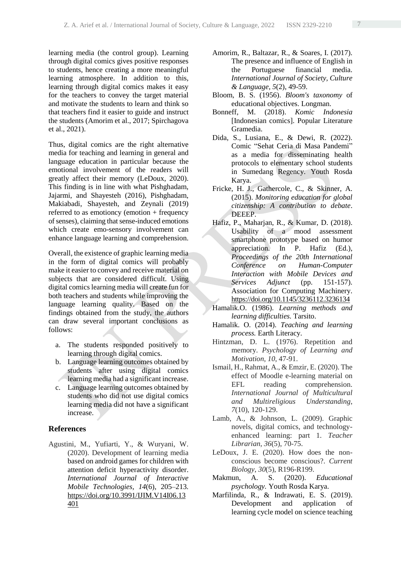learning media (the control group). Learning through digital comics gives positive responses to students, hence creating a more meaningful learning atmosphere. In addition to this, learning through digital comics makes it easy for the teachers to convey the target material and motivate the students to learn and think so that teachers find it easier to guide and instruct the students (Amorim et al., 2017; Spirchagova et al., 2021).

Thus, digital comics are the right alternative media for teaching and learning in general and language education in particular because the emotional involvement of the readers will greatly affect their memory (LeDoux, 2020). This finding is in line with what Pishghadam, Jajarmi, and Shayesteh (2016), Pishghadam, Makiabadi, Shayesteh, and Zeynali (2019) referred to as emotioncy (emotion + frequency of senses), claiming that sense-induced emotions which create emo-sensory involvement can enhance language learning and comprehension.

Overall, the existence of graphic learning media in the form of digital comics will probably make it easier to convey and receive material on subjects that are considered difficult. Using digital comics learning media will create fun for both teachers and students while improving the language learning quality. Based on the findings obtained from the study, the authors can draw several important conclusions as follows:

- a. The students responded positively to learning through digital comics.
- b. Language learning outcomes obtained by students after using digital comics learning media had a significant increase.
- c. Language learning outcomes obtained by students who did not use digital comics learning media did not have a significant increase.

#### **References**

Agustini, M., Yufiarti, Y., & Wuryani, W. (2020). Development of learning media based on android games for children with attention deficit hyperactivity disorder. *International Journal of Interactive Mobile Technologies, 14*(6), 205–213. [https://doi.org/10.3991/IJIM.V14I06.13](https://doi.org/10.3991/IJIM.V14I06.13401) [401](https://doi.org/10.3991/IJIM.V14I06.13401)

- Amorim, R., Baltazar, R., & Soares, I. (2017). The presence and influence of English in the Portuguese financial media. *International Journal of Society, Culture & Language, 5*(2), 49-59.
- Bloom, B. S. (1956). *Bloom's taxonomy* of educational objectives. Longman.
- Bonneff, M. (2018). *Komic Indonesia* [Indonesian comics]. Popular Literature Gramedia.
- Dida, S., Lusiana, E., & Dewi, R. (2022). Comic "Sehat Ceria di Masa Pandemi" as a media for disseminating health protocols to elementary school students in Sumedang Regency. Youth Rosda Karya.
- Fricke, H. J., Gathercole, C., & Skinner, A. (2015). *Monitoring education for global citizenship: A contribution to debate*. DEEEP.
- Hafiz, P., Maharjan, R., & Kumar, D. (2018). Usability of a mood assessment smartphone prototype based on humor appreciation. In P. Hafiz (Ed.), *Proceedings of the 20th International Conference on Human-Computer Interaction with Mobile Devices and Services Adjunct* (pp. 151-157). Association for Computing Machinery. <https://doi.org/10.1145/3236112.3236134>
- Hamalik.O. (1986). *Learning methods and learning difficulties.* Tarsito.
- Hamalik. O. (2014). *Teaching and learning process.* Earth Literacy.
- Hintzman, D. L. (1976). Repetition and memory. *Psychology of Learning and Motivation*, *10*, 47-91.
- Ismail, H., Rahmat, A., & Emzir, E. (2020). The effect of Moodle e-learning material on EFL reading comprehension. *International Journal of Multicultural and Multireligious Understanding*, *7*(10), 120-129.
- Lamb, A., & Johnson, L. (2009). Graphic novels, digital comics, and technologyenhanced learning: part 1. *Teacher Librarian*, *36*(5), 70-75.
- LeDoux, J. E. (2020). How does the nonconscious become conscious?. *Current Biology*, *30*(5), R196-R199.
- Makmun, A. S. (2020). *Educational psychology.* Youth Rosda Karya.
- Marfilinda, R., & Indrawati, E. S. (2019). Development and application of learning cycle model on science teaching